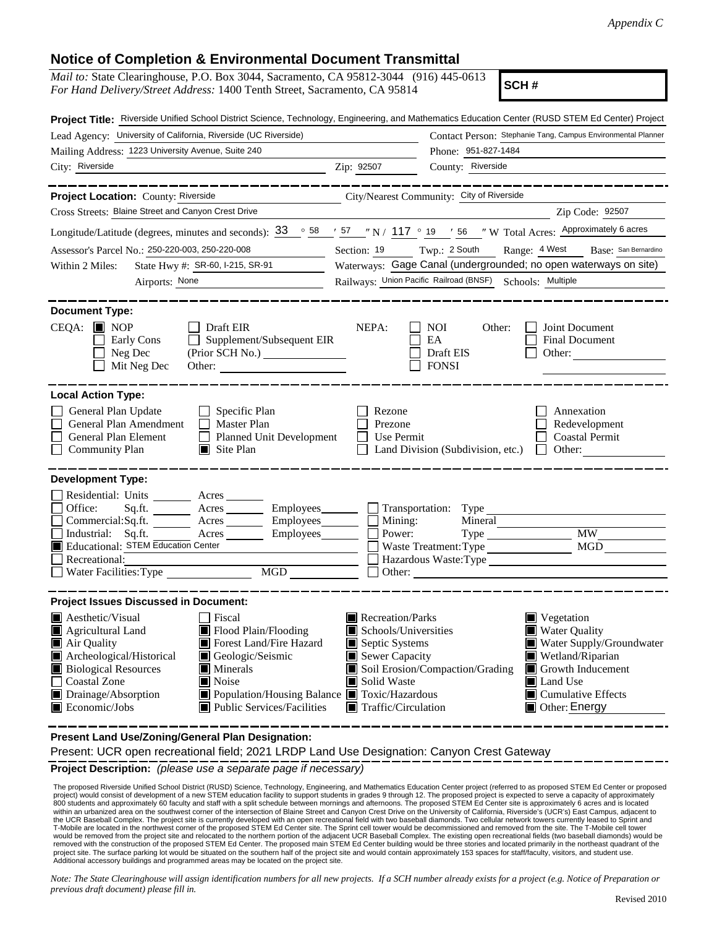## **Notice of Completion & Environmental Document Transmittal**

| <i>Mail to:</i> State Clearinghouse, P.O. Box 3044, Sacramento, CA 95812-3044 (916) 445-0613<br>SCH#<br>For Hand Delivery/Street Address: 1400 Tenth Street, Sacramento, CA 95814                                                                                                                                                                                                     |                                                                                                                                                                                                                                                                                                                                                              |  |  |  |  |
|---------------------------------------------------------------------------------------------------------------------------------------------------------------------------------------------------------------------------------------------------------------------------------------------------------------------------------------------------------------------------------------|--------------------------------------------------------------------------------------------------------------------------------------------------------------------------------------------------------------------------------------------------------------------------------------------------------------------------------------------------------------|--|--|--|--|
| Project Title: Riverside Unified School District Science, Technology, Engineering, and Mathematics Education Center (RUSD STEM Ed Center) Project                                                                                                                                                                                                                                     |                                                                                                                                                                                                                                                                                                                                                              |  |  |  |  |
| Lead Agency: University of California, Riverside (UC Riverside)                                                                                                                                                                                                                                                                                                                       | Contact Person: Stephanie Tang, Campus Environmental Planner                                                                                                                                                                                                                                                                                                 |  |  |  |  |
| Mailing Address: 1223 University Avenue, Suite 240                                                                                                                                                                                                                                                                                                                                    | Phone: 951-827-1484                                                                                                                                                                                                                                                                                                                                          |  |  |  |  |
| City: Riverside                                                                                                                                                                                                                                                                                                                                                                       | County: Riverside<br>Zip: 92507                                                                                                                                                                                                                                                                                                                              |  |  |  |  |
| Project Location: County: Riverside                                                                                                                                                                                                                                                                                                                                                   | City/Nearest Community: City of Riverside                                                                                                                                                                                                                                                                                                                    |  |  |  |  |
| Cross Streets: Blaine Street and Canyon Crest Drive                                                                                                                                                                                                                                                                                                                                   | Zip Code: 92507                                                                                                                                                                                                                                                                                                                                              |  |  |  |  |
| Longitude/Latitude (degrees, minutes and seconds): 33 . 58 . 57 . N / 117 . 19 . 56 . N Total Acres: Approximately 6 acres                                                                                                                                                                                                                                                            |                                                                                                                                                                                                                                                                                                                                                              |  |  |  |  |
| Assessor's Parcel No.: 250-220-003, 250-220-008                                                                                                                                                                                                                                                                                                                                       | Range: 4 West Base: San Bernardino<br>Section: 19 Twp.: 2 South                                                                                                                                                                                                                                                                                              |  |  |  |  |
| State Hwy #: SR-60, I-215, SR-91<br>Within 2 Miles:                                                                                                                                                                                                                                                                                                                                   | Waterways: Gage Canal (undergrounded; no open waterways on site)                                                                                                                                                                                                                                                                                             |  |  |  |  |
| Airports: None<br><u> 1980 - Jan Barbara Barbara, politik eta politik eta politik eta politik eta politik eta politik eta politik </u>                                                                                                                                                                                                                                                | Railways: Union Pacific Railroad (BNSF) Schools: Multiple                                                                                                                                                                                                                                                                                                    |  |  |  |  |
|                                                                                                                                                                                                                                                                                                                                                                                       |                                                                                                                                                                                                                                                                                                                                                              |  |  |  |  |
| <b>Document Type:</b><br>$CEQA:$ MOP<br><b>Draft EIR</b><br>Supplement/Subsequent EIR<br>Early Cons<br>$\perp$<br>Neg Dec<br>(Prior SCH No.)<br>Mit Neg Dec<br>Other:                                                                                                                                                                                                                 | NEPA:<br>NOI<br>Other:<br>Joint Document<br>EA<br><b>Final Document</b><br>Draft EIS<br>Other:<br><b>FONSI</b>                                                                                                                                                                                                                                               |  |  |  |  |
| <b>Local Action Type:</b><br>General Plan Update<br>$\Box$ Specific Plan<br>General Plan Amendment<br>Master Plan<br>General Plan Element<br>Planned Unit Development<br>$\Box$<br><b>Community Plan</b><br>$\Box$ Site Plan                                                                                                                                                          | Rezone<br>Annexation<br>Redevelopment<br>Prezone<br><b>Coastal Permit</b><br>Use Permit<br>Land Division (Subdivision, etc.)<br>Other:                                                                                                                                                                                                                       |  |  |  |  |
| <b>Development Type:</b>                                                                                                                                                                                                                                                                                                                                                              |                                                                                                                                                                                                                                                                                                                                                              |  |  |  |  |
| Residential: Units ________ Acres _______<br>Office:<br>Sq.ft. $\qquad$<br>A <sub>cres</sub><br>Employees________<br>Commercial:Sq.ft.<br>A <sub>cres</sub><br>Employees_______<br>Industrial: Sq.ft.<br>Employees______<br>Acres<br>Educational: STEM Education Center<br>Recreational:<br><b>MGD</b><br>Water Facilities: Type                                                      | Transportation: Type<br>Mining:<br>Mineral<br><b>MW</b><br>Power:<br>Type<br>MGD<br>Waste Treatment: Type<br>Hazardous Waste: Type<br>Other:                                                                                                                                                                                                                 |  |  |  |  |
| <b>Project Issues Discussed in Document:</b>                                                                                                                                                                                                                                                                                                                                          |                                                                                                                                                                                                                                                                                                                                                              |  |  |  |  |
| $\blacksquare$ Aesthetic/Visual<br>Fiscal<br>Agricultural Land<br>Flood Plain/Flooding<br>Forest Land/Fire Hazard<br>Air Quality<br>Archeological/Historical<br>Geologic/Seismic<br><b>Biological Resources</b><br>Minerals<br>Coastal Zone<br><b>■</b> Noise<br>Drainage/Absorption<br>■ Population/Housing Balance ■ Toxic/Hazardous<br>Economic/Jobs<br>Public Services/Facilities | Recreation/Parks<br>$\blacksquare$ Vegetation<br>Schools/Universities<br><b>Water Quality</b><br>Water Supply/Groundwater<br>Septic Systems<br>Sewer Capacity<br>Wetland/Riparian<br>I۳<br>Soil Erosion/Compaction/Grading<br>Growth Inducement<br>Solid Waste<br>Land Use<br>ш<br>$\blacksquare$ Cumulative Effects<br>Other: Energy<br>Traffic/Circulation |  |  |  |  |

**Present Land Use/Zoning/General Plan Designation:**

Present: UCR open recreational field; 2021 LRDP Land Use Designation: Canyon Crest Gateway

**Project Description:** *(please use a separate page if necessary)*

The proposed Riverside Unified School District (RUSD) Science, Technology, Engineering, and Mathematics Education Center project (referred to as proposed STEM Ed Center or proposed<br>project) would consist of development of the UCR Baseball Complex. The project site is currently developed with an open recreational field with two baseball diamonds. Two cellular network towers currently leased to Sprint and<br>T-Mobile are located in the northwest removed with the construction of the proposed STEM Ed Center. The proposed main STEM Ed Center building would be three stories and located primarily in the northeast quadrant of the project site. The surface parking lot would be situated on the southern half of the project site and would contain approximately 153 spaces for staff/faculty, visitors, and student use.<br>Additional accessory buildings and p

*Note: The State Clearinghouse will assign identification numbers for all new projects. If a SCH number already exists for a project (e.g. Notice of Preparation or previous draft document) please fill in.*